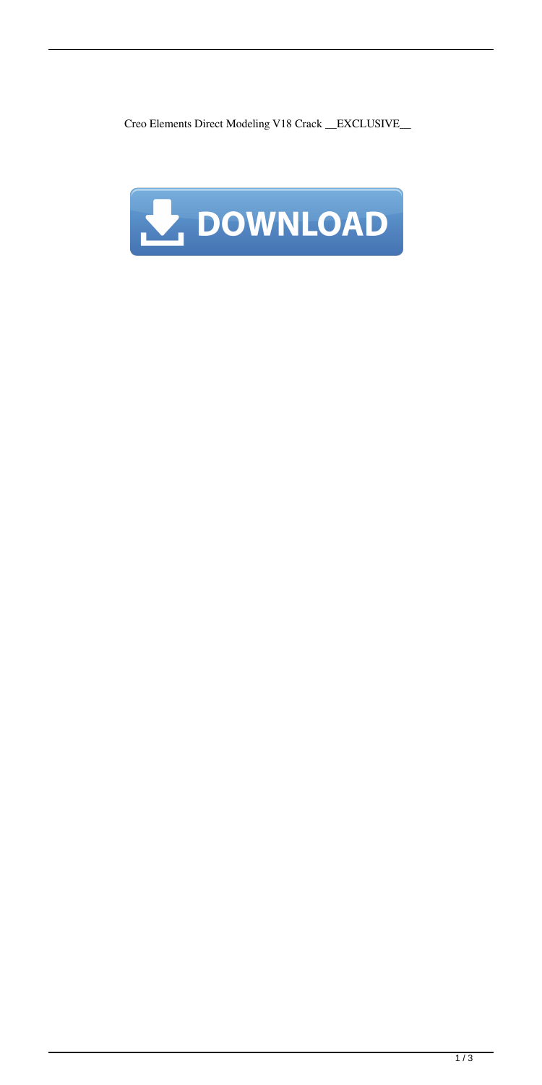Creo Elements Direct Modeling V18 Crack \_\_EXCLUSIVE\_\_

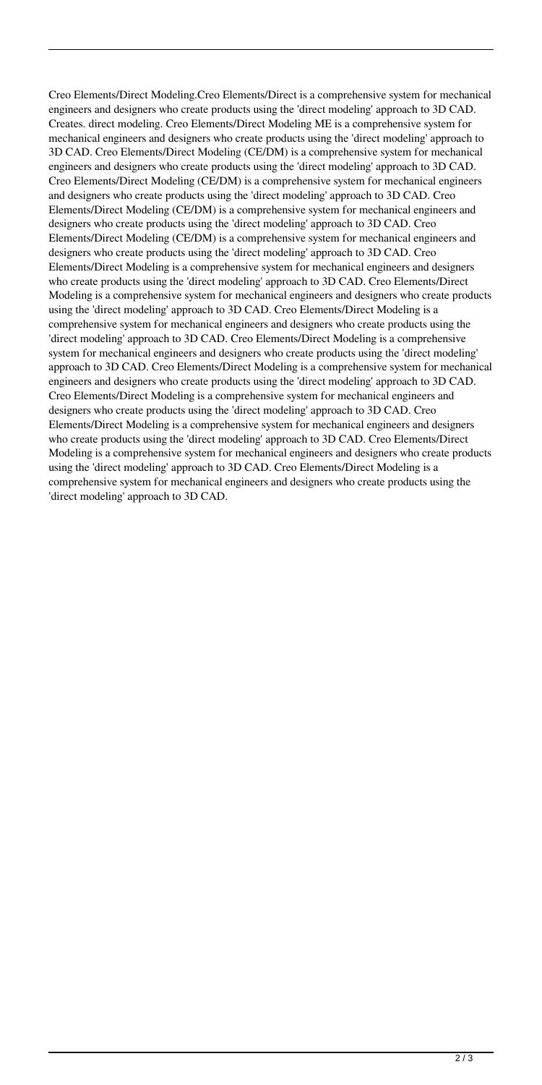Creo Elements/Direct Modeling.Creo Elements/Direct is a comprehensive system for mechanical engineers and designers who create products using the 'direct modeling' approach to 3D CAD. Creates. direct modeling. Creo Elements/Direct Modeling ME is a comprehensive system for mechanical engineers and designers who create products using the 'direct modeling' approach to 3D CAD. Creo Elements/Direct Modeling (CE/DM) is a comprehensive system for mechanical engineers and designers who create products using the 'direct modeling' approach to 3D CAD. Creo Elements/Direct Modeling (CE/DM) is a comprehensive system for mechanical engineers and designers who create products using the 'direct modeling' approach to 3D CAD. Creo Elements/Direct Modeling (CE/DM) is a comprehensive system for mechanical engineers and designers who create products using the 'direct modeling' approach to 3D CAD. Creo Elements/Direct Modeling (CE/DM) is a comprehensive system for mechanical engineers and designers who create products using the 'direct modeling' approach to 3D CAD. Creo Elements/Direct Modeling is a comprehensive system for mechanical engineers and designers who create products using the 'direct modeling' approach to 3D CAD. Creo Elements/Direct Modeling is a comprehensive system for mechanical engineers and designers who create products using the 'direct modeling' approach to 3D CAD. Creo Elements/Direct Modeling is a comprehensive system for mechanical engineers and designers who create products using the 'direct modeling' approach to 3D CAD. Creo Elements/Direct Modeling is a comprehensive system for mechanical engineers and designers who create products using the 'direct modeling' approach to 3D CAD. Creo Elements/Direct Modeling is a comprehensive system for mechanical engineers and designers who create products using the 'direct modeling' approach to 3D CAD. Creo Elements/Direct Modeling is a comprehensive system for mechanical engineers and designers who create products using the 'direct modeling' approach to 3D CAD. Creo Elements/Direct Modeling is a comprehensive system for mechanical engineers and designers who create products using the 'direct modeling' approach to 3D CAD. Creo Elements/Direct Modeling is a comprehensive system for mechanical engineers and designers who create products using the 'direct modeling' approach to 3D CAD. Creo Elements/Direct Modeling is a comprehensive system for mechanical engineers and designers who create products using the 'direct modeling' approach to 3D CAD.